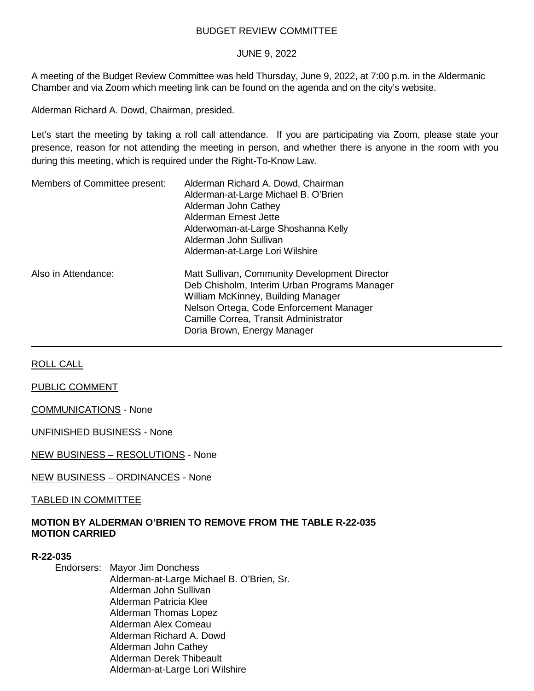## BUDGET REVIEW COMMITTEE

### JUNE 9, 2022

A meeting of the Budget Review Committee was held Thursday, June 9, 2022, at 7:00 p.m. in the Aldermanic Chamber and via Zoom which meeting link can be found on the agenda and on the city's website.

Alderman Richard A. Dowd, Chairman, presided.

Let's start the meeting by taking a roll call attendance. If you are participating via Zoom, please state your presence, reason for not attending the meeting in person, and whether there is anyone in the room with you during this meeting, which is required under the Right-To-Know Law.

| Members of Committee present: | Alderman Richard A. Dowd, Chairman<br>Alderman-at-Large Michael B. O'Brien<br>Alderman John Cathey<br>Alderman Ernest Jette<br>Alderwoman-at-Large Shoshanna Kelly<br>Alderman John Sullivan<br>Alderman-at-Large Lori Wilshire                        |
|-------------------------------|--------------------------------------------------------------------------------------------------------------------------------------------------------------------------------------------------------------------------------------------------------|
| Also in Attendance:           | Matt Sullivan, Community Development Director<br>Deb Chisholm, Interim Urban Programs Manager<br>William McKinney, Building Manager<br>Nelson Ortega, Code Enforcement Manager<br>Camille Correa, Transit Administrator<br>Doria Brown, Energy Manager |

ROLL CALL

PUBLIC COMMENT

COMMUNICATIONS - None

UNFINISHED BUSINESS - None

NEW BUSINESS – RESOLUTIONS - None

NEW BUSINESS – ORDINANCES - None

TABLED IN COMMITTEE

## **MOTION BY ALDERMAN O'BRIEN TO REMOVE FROM THE TABLE R-22-035 MOTION CARRIED**

#### **R-22-035**

Endorsers: Mayor Jim Donchess Alderman-at-Large Michael B. O'Brien, Sr. Alderman John Sullivan Alderman Patricia Klee Alderman Thomas Lopez Alderman Alex Comeau Alderman Richard A. Dowd Alderman John Cathey Alderman Derek Thibeault Alderman-at-Large Lori Wilshire